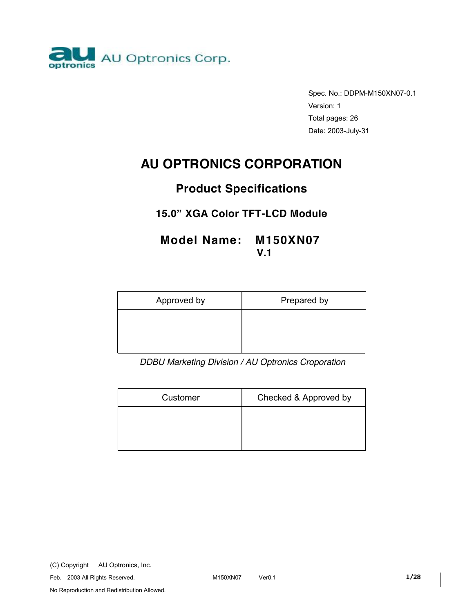

Spec. No.: DDPM-M150XN07-0.1 Version: 1 Total pages: 26 Date: 2003-July-31

# **AU OPTRONICS CORPORATION**

# **Product Specifications**

# **15.0" XGA Color TFT-LCD Module**

# **Model Name: M150XN07 V.1**

| Approved by | Prepared by |
|-------------|-------------|
|             |             |
|             |             |

*DDBU Marketing Division / AU Optronics Croporation* 

| Customer | Checked & Approved by |
|----------|-----------------------|
|          |                       |
|          |                       |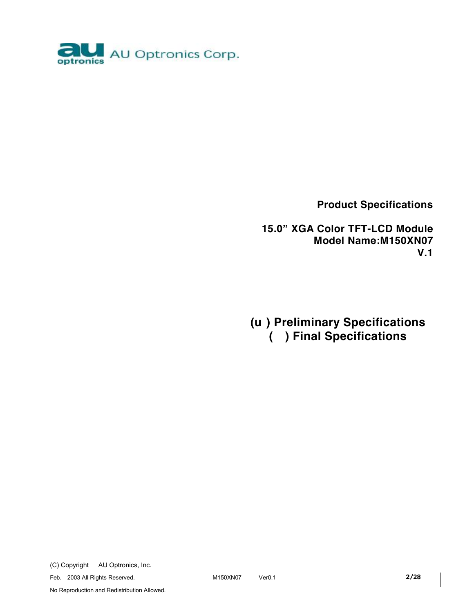

**Product Specifications** 

**15.0" XGA Color TFT-LCD Module Model Name:M150XN07 V.1** 

**(u ) Preliminary Specifications ( ) Final Specifications**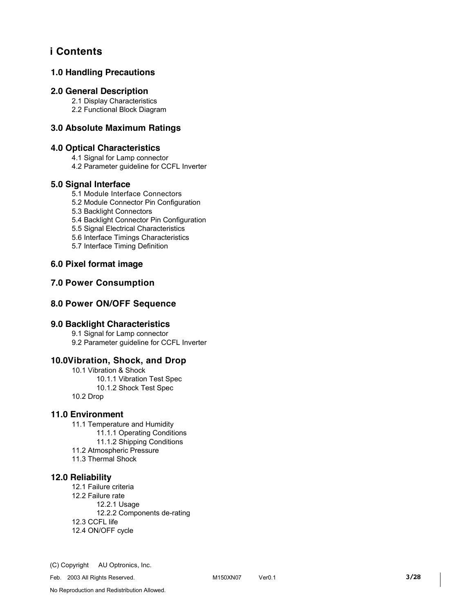# **i Contents**

### **1.0 Handling Precautions**

### **2.0 General Description**

2.1 Display Characteristics 2.2 Functional Block Diagram

### **3.0 Absolute Maximum Ratings**

### **4.0 Optical Characteristics**

4.1 Signal for Lamp connector

4.2 Parameter guideline for CCFL Inverter

#### **5.0 Signal Interface**

5.1 Module Interface Connectors

5.2 Module Connector Pin Configuration

5.3 Backlight Connectors

5.4 Backlight Connector Pin Configuration

5.5 Signal Electrical Characteristics

5.6 Interface Timings Characteristics

5.7 Interface Timing Definition

### **6.0 Pixel format image**

### **7.0 Power Consumption**

### **8.0 Power ON/OFF Sequence**

### **9.0 Backlight Characteristics**

9.1 Signal for Lamp connector

9.2 Parameter guideline for CCFL Inverter

### **10.0Vibration, Shock, and Drop**

10.1 Vibration & Shock 10.1.1 Vibration Test Spec 10.1.2 Shock Test Spec 10.2 Drop

### **11.0 Environment**

11.1 Temperature and Humidity 11.1.1 Operating Conditions 11.1.2 Shipping Conditions 11.2 Atmospheric Pressure 11.3 Thermal Shock

#### **12.0 Reliability**

12.1 Failure criteria 12.2 Failure rate 12.2.1 Usage 12.2.2 Components de-rating 12.3 CCFL life 12.4 ON/OFF cycle

(C) Copyright AU Optronics, Inc.

Feb. 2003 All Rights Reserved. M150XN07 Ver0.1 **3/28**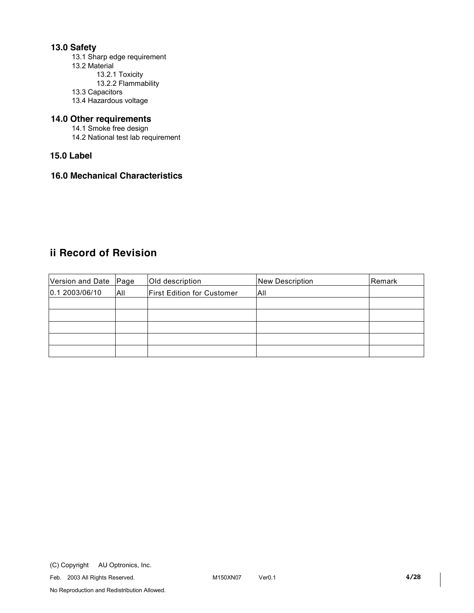### **13.0 Safety**

- 13.1 Sharp edge requirement
- 13.2 Material
	- 13.2.1 Toxicity
		- 13.2.2 Flammability
- 13.3 Capacitors
- 13.4 Hazardous voltage

### **14.0 Other requirements**

- 14.1 Smoke free design
- 14.2 National test lab requirement

### **15.0 Label**

## **16.0 Mechanical Characteristics**

# **ii Record of Revision**

| Version and Date Page |     | Old description                   | New Description | Remark |
|-----------------------|-----|-----------------------------------|-----------------|--------|
| 0.1 2003/06/10        | All | <b>First Edition for Customer</b> | All             |        |
|                       |     |                                   |                 |        |
|                       |     |                                   |                 |        |
|                       |     |                                   |                 |        |
|                       |     |                                   |                 |        |
|                       |     |                                   |                 |        |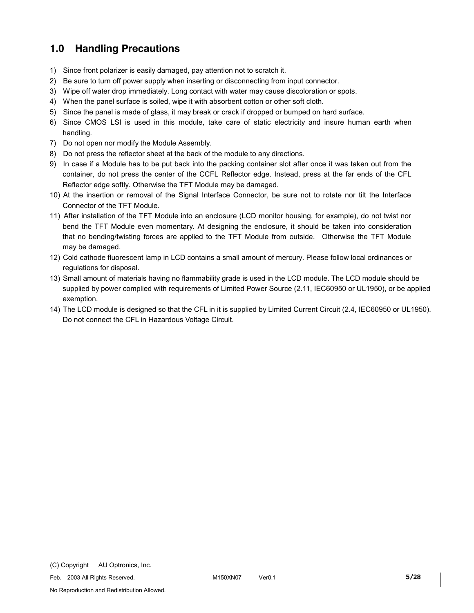# **1.0 Handling Precautions**

- 1) Since front polarizer is easily damaged, pay attention not to scratch it.
- 2) Be sure to turn off power supply when inserting or disconnecting from input connector.
- 3) Wipe off water drop immediately. Long contact with water may cause discoloration or spots.
- 4) When the panel surface is soiled, wipe it with absorbent cotton or other soft cloth.
- 5) Since the panel is made of glass, it may break or crack if dropped or bumped on hard surface.
- 6) Since CMOS LSI is used in this module, take care of static electricity and insure human earth when handling.
- 7) Do not open nor modify the Module Assembly.
- 8) Do not press the reflector sheet at the back of the module to any directions.
- 9) In case if a Module has to be put back into the packing container slot after once it was taken out from the container, do not press the center of the CCFL Reflector edge. Instead, press at the far ends of the CFL Reflector edge softly. Otherwise the TFT Module may be damaged.
- 10) At the insertion or removal of the Signal Interface Connector, be sure not to rotate nor tilt the Interface Connector of the TFT Module.
- 11) After installation of the TFT Module into an enclosure (LCD monitor housing, for example), do not twist nor bend the TFT Module even momentary. At designing the enclosure, it should be taken into consideration that no bending/twisting forces are applied to the TFT Module from outside. Otherwise the TFT Module may be damaged.
- 12) Cold cathode fluorescent lamp in LCD contains a small amount of mercury. Please follow local ordinances or regulations for disposal.
- 13) Small amount of materials having no flammability grade is used in the LCD module. The LCD module should be supplied by power complied with requirements of Limited Power Source (2.11, IEC60950 or UL1950), or be applied exemption.
- 14) The LCD module is designed so that the CFL in it is supplied by Limited Current Circuit (2.4, IEC60950 or UL1950). Do not connect the CFL in Hazardous Voltage Circuit.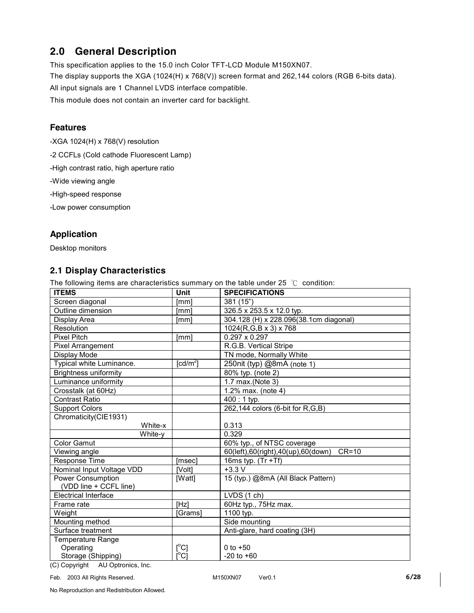# **2.0 General Description**

This specification applies to the 15.0 inch Color TFT-LCD Module M150XN07. The display supports the XGA (1024(H) x 768(V)) screen format and 262,144 colors (RGB 6-bits data). All input signals are 1 Channel LVDS interface compatible. This module does not contain an inverter card for backlight.

### **Features**

-XGA 1024(H) x 768(V) resolution

-2 CCFLs (Cold cathode Fluorescent Lamp)

-High contrast ratio, high aperture ratio

-Wide viewing angle

-High-speed response

-Low power consumption

### **Application**

Desktop monitors

### **2.1 Display Characteristics**

The following items are characteristics summary on the table under 25  $°C$  condition:

| <b>ITEMS</b>                                | Unit                                | <b>SPECIFICATIONS</b>                         |
|---------------------------------------------|-------------------------------------|-----------------------------------------------|
| Screen diagonal                             | lmml                                | 381 (15")                                     |
| Outline dimension                           | [mm]                                | 326.5 x 253.5 x 12.0 typ.                     |
| Display Area                                | [mm]                                | 304.128 (H) x 228.096(38.1cm diagonal)        |
| Resolution                                  |                                     | 1024(R,G,B x 3) x 768                         |
| <b>Pixel Pitch</b>                          | <b>Imml</b>                         | $0.297 \times 0.297$                          |
| <b>Pixel Arrangement</b>                    |                                     | R.G.B. Vertical Stripe                        |
| Display Mode                                |                                     | TN mode, Normally White                       |
| Typical white Luminance.                    | $\lceil$ cd/m <sup>2</sup> $\rceil$ | 250nit (typ) @8mA (note 1)                    |
| <b>Brightness uniformity</b>                |                                     | 80% typ. (note 2)                             |
| Luminance uniformity                        |                                     | 1.7 max.(Note 3)                              |
| Crosstalk (at 60Hz)                         |                                     | 1.2% max. (note 4)                            |
| Contrast Ratio                              |                                     | 400:1 typ.                                    |
| <b>Support Colors</b>                       |                                     | 262,144 colors (6-bit for R,G,B)              |
| Chromaticity(CIE1931)                       |                                     |                                               |
| White-x                                     |                                     | 0.313                                         |
| White-y                                     |                                     | 0.329                                         |
| <b>Color Gamut</b>                          |                                     | 60% typ., of NTSC coverage                    |
| Viewing angle                               |                                     | 60(left),60(right),40(up),60(down)<br>$CR=10$ |
| Response Time                               | [msec]                              | 16 $ms$ typ. $(Tr + Tf)$                      |
| Nominal Input Voltage VDD                   | [Volt]                              | $+3.3 V$                                      |
| Power Consumption<br>(VDD line + CCFL line) | [Watt]                              | 15 (typ.) @8mA (All Black Pattern)            |
| <b>Electrical Interface</b>                 |                                     | LVDS (1 ch)                                   |
| Frame rate                                  | [Hz]                                | 60Hz typ., 75Hz max.                          |
| Weight                                      | [Grams]                             | 1100 typ.                                     |
| Mounting method                             |                                     | Side mounting                                 |
| Surface treatment                           |                                     | Anti-glare, hard coating (3H)                 |
| <b>Temperature Range</b>                    |                                     |                                               |
| Operating                                   | $[^{\circ}C]$                       | 0 to $+50$                                    |
| Storage (Shipping)                          | [°C]                                | $-20$ to $+60$                                |

(C) Copyright AU Optronics, Inc.

Feb. 2003 All Rights Reserved. M150XN07 Ver0.1 **6/28**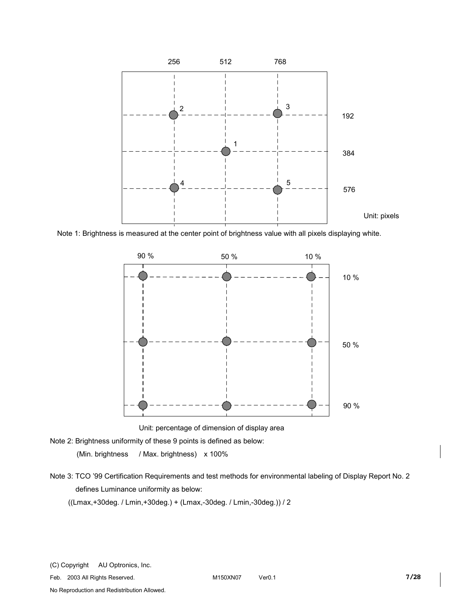

Note 1: Brightness is measured at the center point of brightness value with all pixels displaying white.



Unit: percentage of dimension of display area

Note 2: Brightness uniformity of these 9 points is defined as below:

(Min. brightness / Max. brightness) x 100%

Note 3: TCO '99 Certification Requirements and test methods for environmental labeling of Display Report No. 2 defines Luminance uniformity as below:

((Lmax,+30deg. / Lmin,+30deg.) + (Lmax,-30deg. / Lmin,-30deg.)) / 2

Feb. 2003 All Rights Reserved. M150XN07 Ver0.1 **7/28**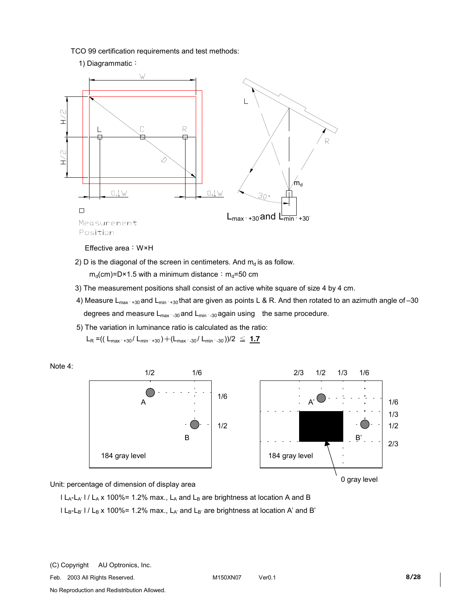TCO 99 certification requirements and test methods:



Effective area: W×H

2) D is the diagonal of the screen in centimeters. And  $m_d$  is as follow.

 $m_d$ (cm)=D×1.5 with a minimum distance:  $m_d$ =50 cm

- 3) The measurement positions shall consist of an active white square of size 4 by 4 cm.
- 4) Measure  $L_{max+30}$  and  $L_{min+30}$  that are given as points L & R. And then rotated to an azimuth angle of -30 degrees and measure  $L_{\text{max}}$ , <sub>30</sub>°and  $L_{\text{min}}$ , <sub>30</sub>°again using the same procedure.
- 5) The variation in luminance ratio is calculated as the ratio:

 $L_R = (( L_{\text{max}'+30}/ L_{\text{min}'+30}) + (L_{\text{max}'+30}/ L_{\text{min}'+30})/2 \leq 1.7$ 



Unit: percentage of dimension of display area

l L<sub>A</sub>-L<sub>A'</sub> l / L<sub>A</sub> x 100%= 1.2% max., L<sub>A</sub> and L<sub>B</sub> are brightness at location A and B

 $l L_B-L_B$ '  $l / L_B$  x 100%= 1.2% max.,  $L_{A'}$  and  $L_{B'}$  are brightness at location A' and B'

Feb. 2003 All Rights Reserved. M150XN07 Ver0.1 **8/28**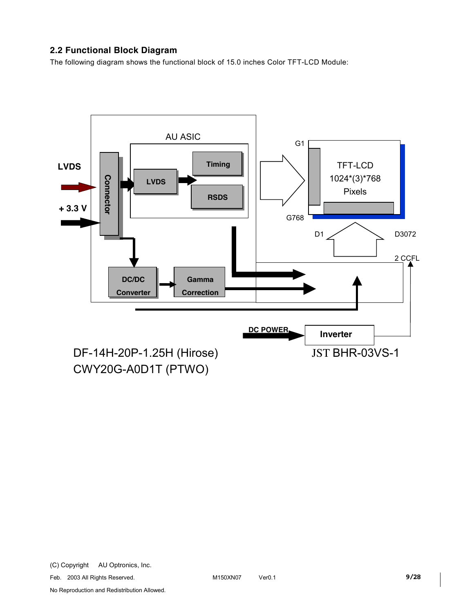### **2.2 Functional Block Diagram**

The following diagram shows the functional block of 15.0 inches Color TFT-LCD Module:



Feb. 2003 All Rights Reserved. M150XN07 Ver0.1 **9/28**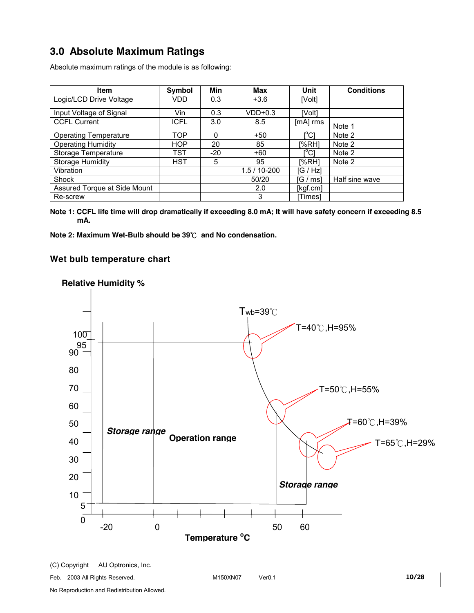# **3.0 Absolute Maximum Ratings**

Absolute maximum ratings of the module is as following:

| <b>Item</b>                  | <b>Symbol</b> | Min   | Max            | Unit              | <b>Conditions</b> |
|------------------------------|---------------|-------|----------------|-------------------|-------------------|
| Logic/LCD Drive Voltage      | VDD           | 0.3   | $+3.6$         | [Volt]            |                   |
| Input Voltage of Signal      | Vin           | 0.3   | $VDD+0.3$      | <b>IVolt1</b>     |                   |
| <b>CCFL Current</b>          | <b>ICFL</b>   | 3.0   | 8.5            | [mA] rms          | Note 1            |
| <b>Operating Temperature</b> | <b>TOP</b>    | O     | $+50$          | C <sup>o</sup>    | Note 2            |
| <b>Operating Humidity</b>    | <b>HOP</b>    | 20    | 85             | I%RH1             | Note 2            |
| Storage Temperature          | TST           | $-20$ | $+60$          | l <sub>o</sub> Cl | Note 2            |
| <b>Storage Humidity</b>      | <b>HST</b>    | 5     | 95             | [%RH]             | Note 2            |
| Vibration                    |               |       | $1.5/10 - 200$ | IG / Hzl          |                   |
| Shock                        |               |       | 50/20          | [G/ms]            | Half sine wave    |
| Assured Torque at Side Mount |               |       | 2.0            | [kgf.cm]          |                   |
| Re-screw                     |               |       | 3              | Timesl            |                   |

**Note 1: CCFL life time will drop dramatically if exceeding 8.0 mA; It will have safety concern if exceeding 8.5 mA.** 

**Note 2: Maximum Wet-Bulb should be 39**℃ **and No condensation.**

### **Wet bulb temperature chart**

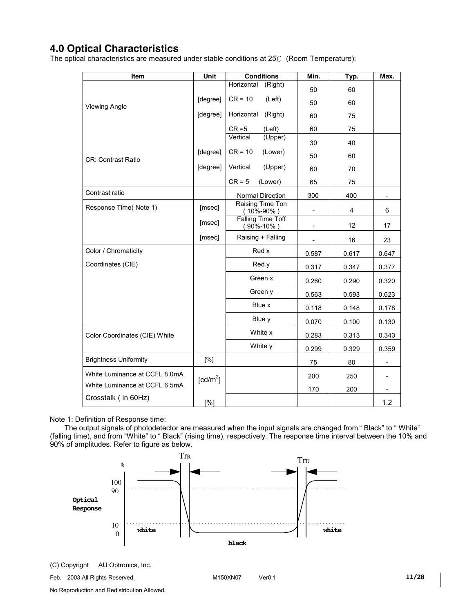# **4.0 Optical Characteristics**

The optical characteristics are measured under stable conditions at 25℃ (Room Temperature):

| Item                          | Unit                   | <b>Conditions</b>                    | Min.                     | Typ.           | Max.  |
|-------------------------------|------------------------|--------------------------------------|--------------------------|----------------|-------|
|                               |                        | Horizontal<br>(Right)                | 50                       | 60             |       |
|                               | [degree]               | $CR = 10$<br>(Left)                  | 50                       | 60             |       |
| <b>Viewing Angle</b>          | [degree]               | Horizontal<br>(Right)                | 60                       | 75             |       |
|                               |                        |                                      |                          |                |       |
|                               |                        | $CR = 5$<br>(Left)                   | 60                       | 75             |       |
|                               |                        | Vertical<br>(Upper)                  | 30                       | 40             |       |
| <b>CR: Contrast Ratio</b>     | [degree]               | $CR = 10$<br>(Lower)                 | 50                       | 60             |       |
|                               | [degree]               | Vertical<br>(Upper)                  | 60                       | 70             |       |
|                               |                        | $CR = 5$<br>(Lower)                  | 65                       | 75             |       |
| Contrast ratio                |                        | Normal Direction                     | 300                      | 400            |       |
| Response Time(Note 1)         | [msec]                 | Raising Time Ton<br>(10%-90%)        | $\overline{\phantom{0}}$ | $\overline{4}$ | 6     |
|                               | [msec]                 | Falling Time Toff<br>$(90\% - 10\%)$ |                          | 12             | 17    |
|                               | [msec]                 | Raising + Falling                    |                          | 16             | 23    |
| Color / Chromaticity          |                        | Red x                                | 0.587                    | 0.617          | 0.647 |
| Coordinates (CIE)             |                        | Red y                                | 0.317                    | 0.347          | 0.377 |
|                               |                        | Green x                              | 0.260                    | 0.290          | 0.320 |
|                               |                        | Green y                              | 0.563                    | 0.593          | 0.623 |
|                               |                        | Blue x                               | 0.118                    | 0.148          | 0.178 |
|                               |                        | Blue y                               | 0.070                    | 0.100          | 0.130 |
| Color Coordinates (CIE) White |                        | White x                              | 0.283                    | 0.313          | 0.343 |
|                               |                        | White y                              | 0.299                    | 0.329          | 0.359 |
| <b>Brightness Uniformity</b>  | [%]                    |                                      | 75                       | 80             |       |
| White Luminance at CCFL 8.0mA | $\lceil cd/m^2 \rceil$ |                                      | 200                      | 250            |       |
| White Luminance at CCFL 6.5mA |                        |                                      | 170                      | 200            |       |
| Crosstalk (in 60Hz)           | [%]                    |                                      |                          |                | 1.2   |

Note 1: Definition of Response time:

The output signals of photodetector are measured when the input signals are changed from " Black" to " White" (falling time), and from "White" to " Black" (rising time), respectively. The response time interval between the 10% and 90% of amplitudes. Refer to figure as below.



Feb. 2003 All Rights Reserved. M150XN07 Ver0.1 **11/28**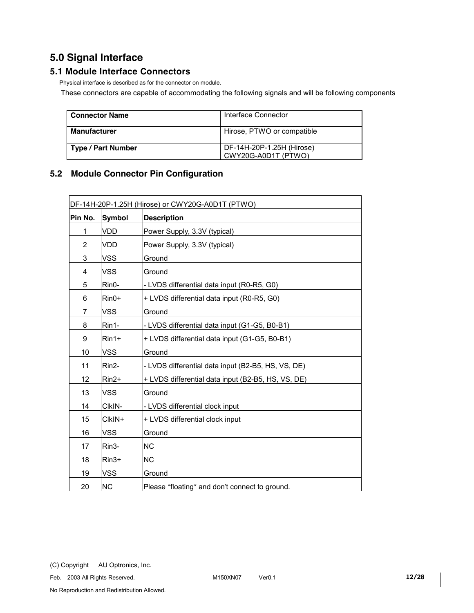# **5.0 Signal Interface**

### **5.1 Module Interface Connectors**

Physical interface is described as for the connector on module.

These connectors are capable of accommodating the following signals and will be following components

| <b>Connector Name</b> | Interface Connector                              |
|-----------------------|--------------------------------------------------|
| <b>Manufacturer</b>   | Hirose, PTWO or compatible                       |
| Type / Part Number    | DF-14H-20P-1.25H (Hirose)<br>CWY20G-A0D1T (PTWO) |

### **5.2 Module Connector Pin Configuration**

|                | DF-14H-20P-1.25H (Hirose) or CWY20G-A0D1T (PTWO) |                                                    |  |  |  |
|----------------|--------------------------------------------------|----------------------------------------------------|--|--|--|
| Pin No.        | Symbol                                           | <b>Description</b>                                 |  |  |  |
| 1              | <b>VDD</b>                                       | Power Supply, 3.3V (typical)                       |  |  |  |
| $\overline{2}$ | VDD                                              | Power Supply, 3.3V (typical)                       |  |  |  |
| 3              | <b>VSS</b>                                       | Ground                                             |  |  |  |
| 4              | <b>VSS</b>                                       | Ground                                             |  |  |  |
| 5              | Rin0-                                            | - LVDS differential data input (R0-R5, G0)         |  |  |  |
| 6              | $Rin0+$                                          | + LVDS differential data input (R0-R5, G0)         |  |  |  |
| 7              | <b>VSS</b>                                       | Ground                                             |  |  |  |
| 8              | Rin1-                                            | - LVDS differential data input (G1-G5, B0-B1)      |  |  |  |
| 9              | $Rin1+$                                          | + LVDS differential data input (G1-G5, B0-B1)      |  |  |  |
| 10             | <b>VSS</b>                                       | Ground                                             |  |  |  |
| 11             | Rin2-                                            | - LVDS differential data input (B2-B5, HS, VS, DE) |  |  |  |
| 12             | Rin2+                                            | + LVDS differential data input (B2-B5, HS, VS, DE) |  |  |  |
| 13             | <b>VSS</b>                                       | Ground                                             |  |  |  |
| 14             | CIkIN-                                           | - LVDS differential clock input                    |  |  |  |
| 15             | CIkIN+                                           | + LVDS differential clock input                    |  |  |  |
| 16             | <b>VSS</b>                                       | Ground                                             |  |  |  |
| 17             | Rin3-                                            | <b>NC</b>                                          |  |  |  |
| 18             | Rin3+                                            | <b>NC</b>                                          |  |  |  |
| 19             | <b>VSS</b>                                       | Ground                                             |  |  |  |
| 20             | <b>NC</b>                                        | Please *floating* and don't connect to ground.     |  |  |  |

Feb. 2003 All Rights Reserved. M150XN07 Ver0.1 **12/28**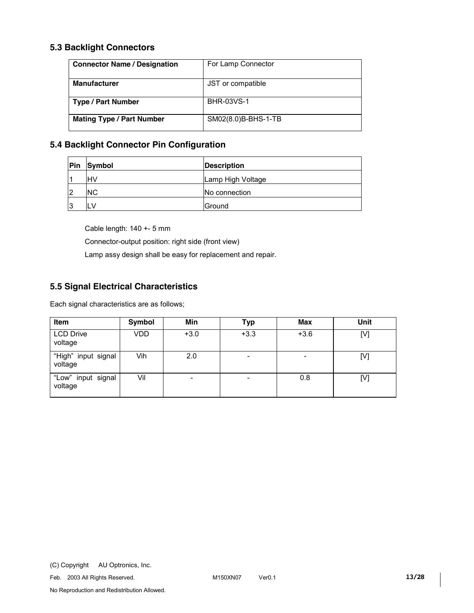### **5.3 Backlight Connectors**

| <b>Connector Name / Designation</b> | For Lamp Connector  |
|-------------------------------------|---------------------|
| <b>Manufacturer</b>                 | JST or compatible   |
| <b>Type / Part Number</b>           | <b>BHR-03VS-1</b>   |
| <b>Mating Type / Part Number</b>    | SM02(8.0)B-BHS-1-TB |

### **5.4 Backlight Connector Pin Configuration**

| <b>Pin</b> | Symbol    | <b>Description</b> |
|------------|-----------|--------------------|
|            | lΗV       | Lamp High Voltage  |
| 12         | <b>NC</b> | No connection      |
| 3          |           | Ground             |

Cable length: 140 +- 5 mm

Connector-output position: right side (front view)

Lamp assy design shall be easy for replacement and repair.

### **5.5 Signal Electrical Characteristics**

Each signal characteristics are as follows;

| <b>Item</b>                    | Symbol | Min                      | Typ    | Max    | Unit |
|--------------------------------|--------|--------------------------|--------|--------|------|
| <b>LCD Drive</b><br>voltage    | VDD.   | $+3.0$                   | $+3.3$ | $+3.6$ | [V]  |
| "High" input signal<br>voltage | Vih    | 2.0                      |        |        | [V]  |
| "Low" input signal<br>voltage  | Vil    | $\overline{\phantom{a}}$ |        | 0.8    | [V]  |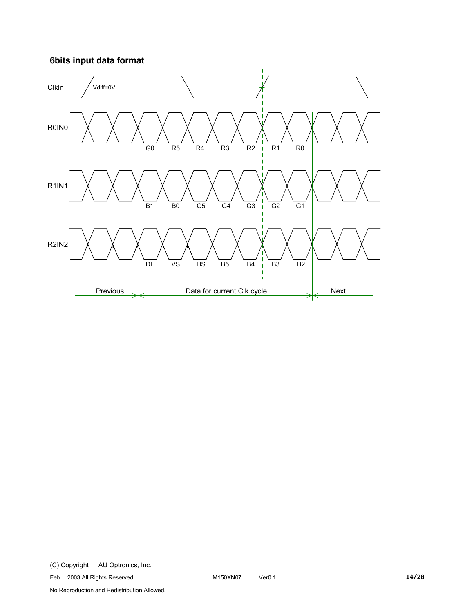### **6bits input data format**

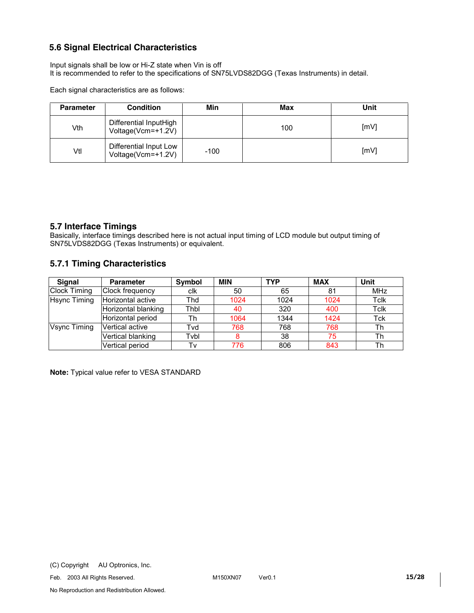### **5.6 Signal Electrical Characteristics**

Input signals shall be low or Hi-Z state when Vin is off It is recommended to refer to the specifications of SN75LVDS82DGG (Texas Instruments) in detail.

Each signal characteristics are as follows:

| <b>Parameter</b> | <b>Condition</b>                             | Min    | <b>Max</b> | Unit |
|------------------|----------------------------------------------|--------|------------|------|
| Vth              | Differential InputHigh<br>Voltage(Vcm=+1.2V) |        | 100        | [mV] |
| Vtl              | Differential Input Low<br>Voltage(Vcm=+1.2V) | $-100$ |            | [mV] |

### **5.7 Interface Timings**

Basically, interface timings described here is not actual input timing of LCD module but output timing of SN75LVDS82DGG (Texas Instruments) or equivalent.

### **5.7.1 Timing Characteristics**

| <b>Signal</b>       | <b>Parameter</b>    | Symbol | <b>MIN</b> | <b>TYP</b> | <b>MAX</b> | Unit        |
|---------------------|---------------------|--------|------------|------------|------------|-------------|
| <b>Clock Timing</b> | Clock frequency     | clk    | 50         | 65         | 81         | <b>MHz</b>  |
| <b>Hsync Timing</b> | Horizontal active   | Thd    | 1024       | 1024       | 1024       | <b>Tclk</b> |
|                     | Horizontal blanking | Thbl   | 40         | 320        | 400        | Tclk        |
|                     | Horizontal period   | Th     | 1064       | 1344       | 1424       | Tck         |
| Vsync Timing        | Vertical active     | Tvd    | 768        | 768        | 768        | Th          |
|                     | Vertical blanking   | Tvbl   |            | 38         | 75         | Th          |
|                     | Vertical period     | Tv     | 776        | 806        | 843        | Th          |

**Note:** Typical value refer to VESA STANDARD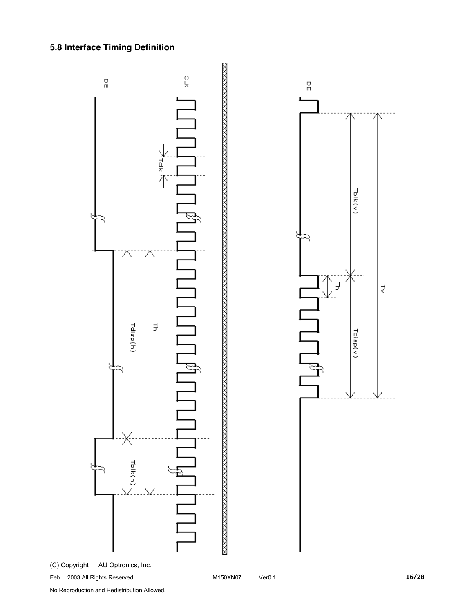



(C) Copyright AU Optronics, Inc.

Feb. 2003 All Rights Reserved. M150XN07 Ver0.1 **16/28**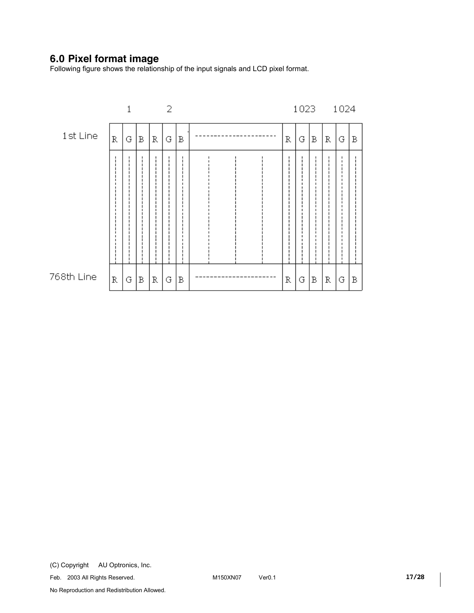# **6.0 Pixel format image**

Following figure shows the relationship of the input signals and LCD pixel format.

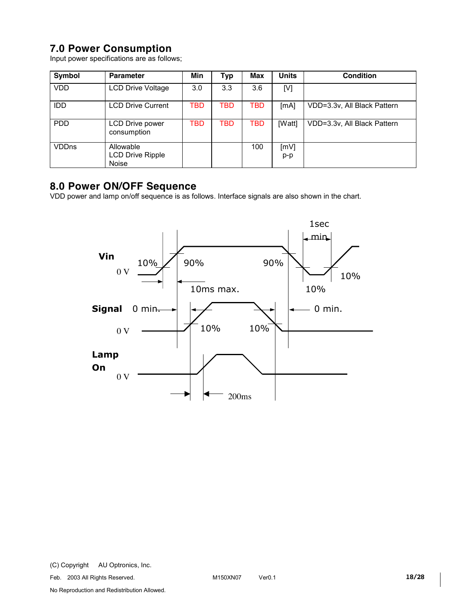# **7.0 Power Consumption**

Input power specifications are as follows;

| Symbol       | <b>Parameter</b>                              | Min | <b>Typ</b> | <b>Max</b> | <b>Units</b> | Condition                   |
|--------------|-----------------------------------------------|-----|------------|------------|--------------|-----------------------------|
| <b>VDD</b>   | <b>LCD Drive Voltage</b>                      | 3.0 | 3.3        | 3.6        | [V]          |                             |
| <b>IDD</b>   | <b>LCD Drive Current</b>                      | TBD | TBD        | TBD        | [MA]         | VDD=3.3v, All Black Pattern |
| <b>PDD</b>   | LCD Drive power<br>consumption                | TBD | TBD        | <b>TBD</b> | [Watt]       | VDD=3.3v, All Black Pattern |
| <b>VDDns</b> | Allowable<br>LCD Drive Ripple<br><b>Noise</b> |     |            | 100        | [mV]<br>p-p  |                             |

# **8.0 Power ON/OFF Sequence**

VDD power and lamp on/off sequence is as follows. Interface signals are also shown in the chart.

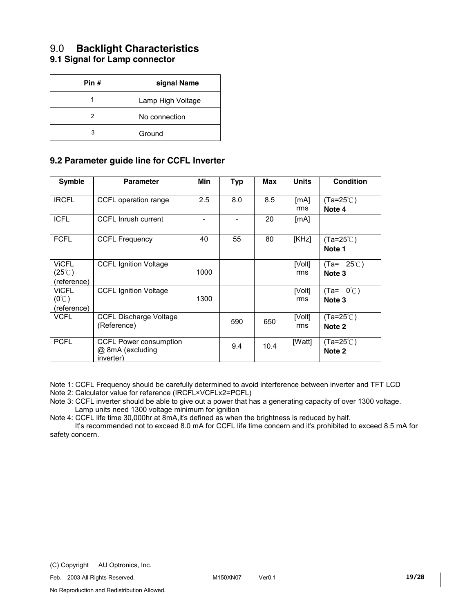# 9.0 **Backlight Characteristics**

## **9.1 Signal for Lamp connector**

| Pin # | signal Name       |
|-------|-------------------|
|       | Lamp High Voltage |
|       | No connection     |
| З     | Ground            |

### **9.2 Parameter guide line for CCFL Inverter**

| Symble                                          | <b>Parameter</b>                                        | Min  | <b>Typ</b> | Max  | <b>Units</b>  | <b>Condition</b>                  |
|-------------------------------------------------|---------------------------------------------------------|------|------------|------|---------------|-----------------------------------|
| <b>IRCFL</b>                                    | CCFL operation range                                    | 2.5  | 8.0        | 8.5  | [mA]<br>rms   | $(Ta=25^{\circ}C)$<br>Note 4      |
| <b>ICFL</b>                                     | CCFL Inrush current                                     |      |            | 20   | [mA]          |                                   |
| <b>FCFL</b>                                     | <b>CCFL Frequency</b>                                   | 40   | 55         | 80   | [KHz]         | $(Ta=25^{\circ}C)$<br>Note 1      |
| <b>VICFL</b><br>$(25^{\circ}$ C)<br>(reference) | <b>CCFL Ignition Voltage</b>                            | 1000 |            |      | [Volt]<br>rms | $25^{\circ}$ C)<br>(Ta=<br>Note 3 |
| <b>VICFL</b><br>$(0^{\circ}C)$<br>(reference)   | <b>CCFL Ignition Voltage</b>                            | 1300 |            |      | [Volt]<br>rms | $(Ta = 0^{\circ}C)$<br>Note 3     |
| VCFL                                            | <b>CCFL Discharge Voltage</b><br>(Reference)            |      | 590        | 650  | [Volt]<br>rms | $(Ta=25^{\circ}$ C)<br>Note 2     |
| <b>PCFL</b>                                     | CCFL Power consumption<br>@ 8mA (excluding<br>inverter) |      | 9.4        | 10.4 | [Watt]        | (Ta=25 $\mathcal{C}$ )<br>Note 2  |

Note 1: CCFL Frequency should be carefully determined to avoid interference between inverter and TFT LCD Note 2: Calculator value for reference (IRCFL×VCFLx2=PCFL)

Note 3: CCFL inverter should be able to give out a power that has a generating capacity of over 1300 voltage. Lamp units need 1300 voltage minimum for ignition

Note 4: CCFL life time 30,000hr at 8mA,it's defined as when the brightness is reduced by half.

It's recommended not to exceed 8.0 mA for CCFL life time concern and it's prohibited to exceed 8.5 mA for safety concern.

Feb. 2003 All Rights Reserved. M150XN07 Ver0.1 **19/28**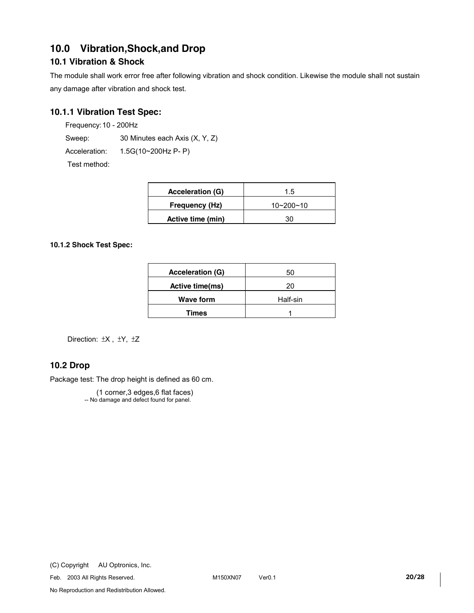# **10.0 Vibration,Shock,and Drop**

### **10.1 Vibration & Shock**

The module shall work error free after following vibration and shock condition. Likewise the module shall not sustain any damage after vibration and shock test.

### **10.1.1 Vibration Test Spec:**

Frequency:10 - 200Hz

Sweep: 30 Minutes each Axis (X, Y, Z)

Acceleration: 1.5G(10~200Hz P- P)

Test method:

| <b>Acceleration (G)</b> | 1.5             |
|-------------------------|-----------------|
| <b>Frequency (Hz)</b>   | $10 - 200 - 10$ |
| Active time (min)       | חצ              |

#### **10.1.2 Shock Test Spec:**

| <b>Acceleration (G)</b> | 50       |
|-------------------------|----------|
| Active time(ms)         | 20       |
| <b>Wave form</b>        | Half-sin |
| Times                   |          |

Direction: ±X , ±Y, ±Z

### **10.2 Drop**

Package test: The drop height is defined as 60 cm.

(1 corner,3 edges,6 flat faces) -- No damage and defect found for panel.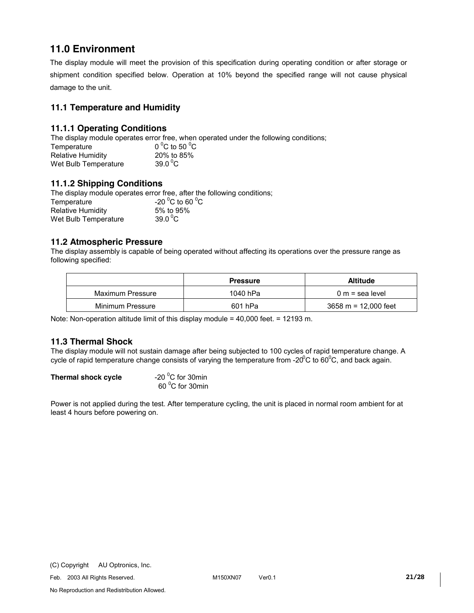# **11.0 Environment**

The display module will meet the provision of this specification during operating condition or after storage or shipment condition specified below. Operation at 10% beyond the specified range will not cause physical damage to the unit.

### **11.1 Temperature and Humidity**

### **11.1.1 Operating Conditions**

The display module operates error free, when operated under the following conditions;

| Temperature          | 0 <sup>o</sup> C to 50 <sup>o</sup> C |
|----------------------|---------------------------------------|
| Relative Humidity    | 20% to 85%                            |
| Wet Bulb Temperature | $39.0\,^{\circ}$ C                    |

### **11.1.2 Shipping Conditions**

The display module operates error free, after the following conditions; **Temperature** C to 60  $^{\circ}$ C Relative Humidity 5% to 95% Wet Bulb Temperature 39.0 $\mathrm{^0C}$ 

### **11.2 Atmospheric Pressure**

The display assembly is capable of being operated without affecting its operations over the pressure range as following specified:

|                  | <b>Pressure</b> | <b>Altitude</b>                        |
|------------------|-----------------|----------------------------------------|
| Maximum Pressure | 1040 hPa        | $0 m$ = sea level                      |
| Minimum Pressure | 601 hPa         | $3658 \text{ m} = 12,000 \text{ feet}$ |

Note: Non-operation altitude limit of this display module = 40,000 feet. = 12193 m.

### **11.3 Thermal Shock**

The display module will not sustain damage after being subjected to 100 cycles of rapid temperature change. A cycle of rapid temperature change consists of varying the temperature from -20 $\rm{^0C}$  to 60 $\rm{^0C}$ , and back again.

**Thermal shock cycle** -20 $\mathrm{^0C}$  for 30min  $60<sup>o</sup>C$  for 30min

Power is not applied during the test. After temperature cycling, the unit is placed in normal room ambient for at least 4 hours before powering on.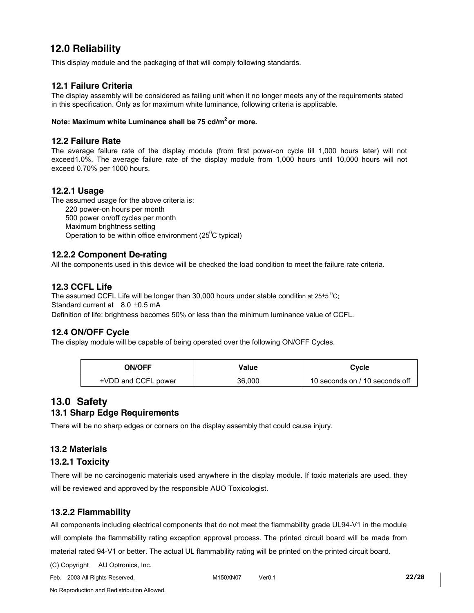# **12.0 Reliability**

This display module and the packaging of that will comply following standards.

### **12.1 Failure Criteria**

The display assembly will be considered as failing unit when it no longer meets any of the requirements stated in this specification. Only as for maximum white luminance, following criteria is applicable.

#### **Note: Maximum white Luminance shall be 75 cd/m2 or more.**

#### **12.2 Failure Rate**

The average failure rate of the display module (from first power-on cycle till 1,000 hours later) will not exceed1.0%. The average failure rate of the display module from 1,000 hours until 10,000 hours will not exceed 0.70% per 1000 hours.

### **12.2.1 Usage**

The assumed usage for the above criteria is: 220 power-on hours per month 500 power on/off cycles per month Maximum brightness setting Operation to be within office environment ( $25^{\circ}$ C typical)

### **12.2.2 Component De-rating**

All the components used in this device will be checked the load condition to meet the failure rate criteria.

### **12.3 CCFL Life**

The assumed CCFL Life will be longer than 30,000 hours under stable condition at 25 $\pm$ 5  $^0$ C; Standard current at 8.0 ±0.5 mA

Definition of life: brightness becomes 50% or less than the minimum luminance value of CCFL.

### **12.4 ON/OFF Cycle**

The display module will be capable of being operated over the following ON/OFF Cycles.

| <b>ON/OFF</b>       | Value  | Cycle                          |  |
|---------------------|--------|--------------------------------|--|
| +VDD and CCFL power | 36,000 | 10 seconds on / 10 seconds off |  |

### **13.0 Safety**

### **13.1 Sharp Edge Requirements**

There will be no sharp edges or corners on the display assembly that could cause injury.

### **13.2 Materials**

### **13.2.1 Toxicity**

There will be no carcinogenic materials used anywhere in the display module. If toxic materials are used, they will be reviewed and approved by the responsible AUO Toxicologist.

### **13.2.2 Flammability**

All components including electrical components that do not meet the flammability grade UL94-V1 in the module will complete the flammability rating exception approval process. The printed circuit board will be made from material rated 94-V1 or better. The actual UL flammability rating will be printed on the printed circuit board.

(C) Copyright AU Optronics, Inc.

Feb. 2003 All Rights Reserved. M150XN07 Ver0.1 **22/28**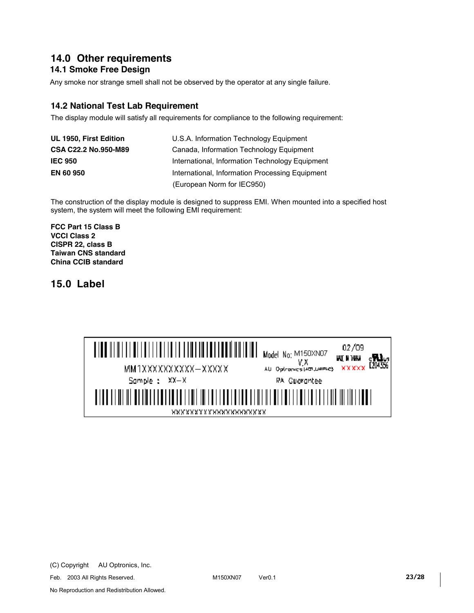# **14.0 Other requirements**

### **14.1 Smoke Free Design**

Any smoke nor strange smell shall not be observed by the operator at any single failure.

### **14.2 National Test Lab Requirement**

The display module will satisfy all requirements for compliance to the following requirement:

| UL 1950, First Edition | U.S.A. Information Technology Equipment         |
|------------------------|-------------------------------------------------|
| CSA C22.2 No.950-M89   | Canada, Information Technology Equipment        |
| <b>IEC 950</b>         | International, Information Technology Equipment |
| EN 60 950              | International, Information Processing Equipment |
|                        | (European Norm for IEC950)                      |

The construction of the display module is designed to suppress EMI. When mounted into a specified host system, the system will meet the following EMI requirement:

**FCC Part 15 Class B VCCI Class 2 CISPR 22, class B Taiwan CNS standard China CCIB standard** 

**15.0 Label** 

| THE WILLIE CONTROL AND STATES OF A STATE OF A STATE OF A STATE OF A STATE OF A STATE OF A STATE OF A STATE OF A<br>MM 1X XX X X X X X X - X X X X X | 02/09<br>Model No: M150XN07<br>WE N WHI CHANGE<br>VX<br>AU Optranies (AD Juliele) |
|-----------------------------------------------------------------------------------------------------------------------------------------------------|-----------------------------------------------------------------------------------|
| Sample: XX-X                                                                                                                                        | RA Cuarantee                                                                      |
| xxxxxxxxxxxxxxxxxxxx                                                                                                                                |                                                                                   |

Feb. 2003 All Rights Reserved. M150XN07 Ver0.1 **23/28**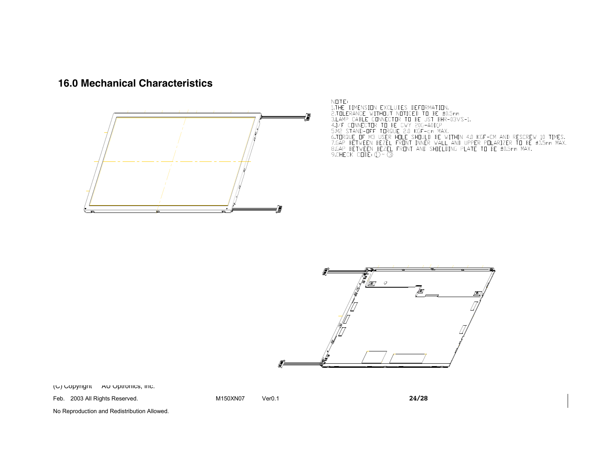# **16.0 Mechanical Characteristics**



NOTE:<br>1.THE DIMENSION EXCLUDES DEFORMATION.<br>2.TOLERANCE WITHOUT NOTICED TO BE ±0.5mm<br>3.LAMP CABLE CONNECTOR TO BE JST BHR-03VS-1.<br>5.M2 STAND-OFF TORQUE 2.0 KGF-cm MAX.<br>5.M2 STAND-OFF TORQUE 2.0 KGF-cm MAX.<br>6.TORQUE OF M3 U



(C) Copyright AU Optronics, Inc.

Feb. 2003 All Rights Reserved. M150XN07 Ver0.1 **24/28**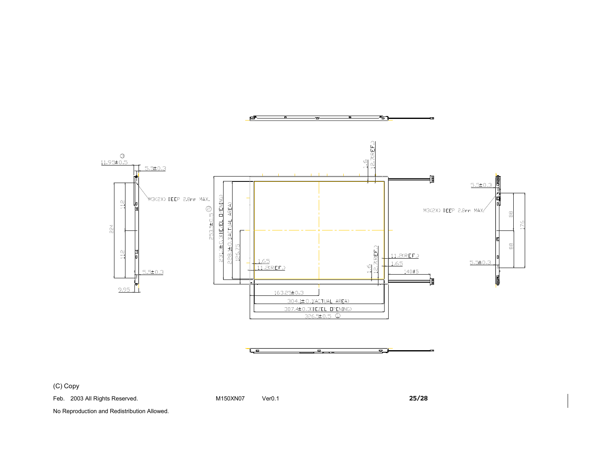